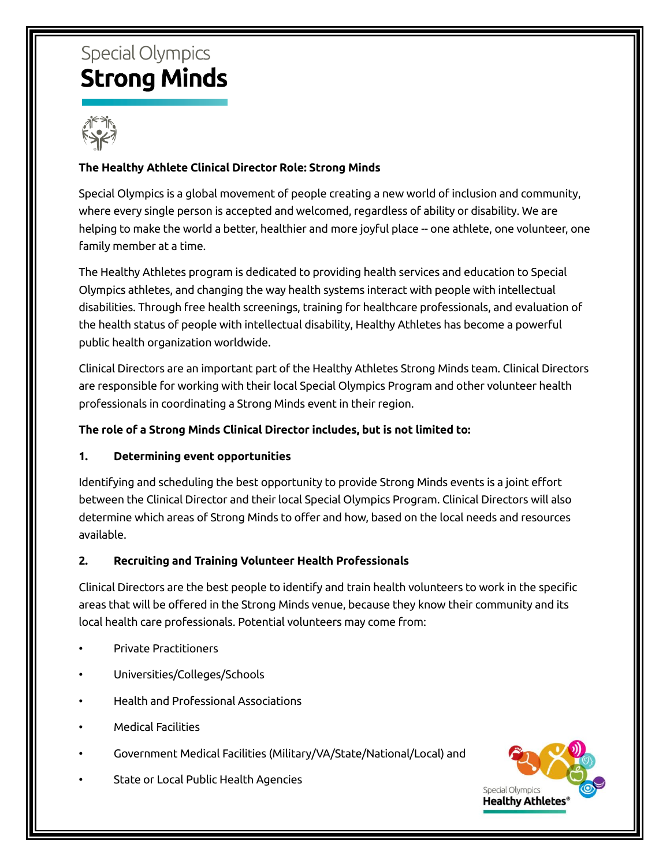# **Special Olympics Strong Minds**



# **The Healthy Athlete Clinical Director Role: Strong Minds**

Special Olympics is a global movement of people creating a new world of inclusion and community, where every single person is accepted and welcomed, regardless of ability or disability. We are helping to make the world a better, healthier and more joyful place -- one athlete, one volunteer, one family member at a time.

The Healthy Athletes program is dedicated to providing health services and education to Special Olympics athletes, and changing the way health systems interact with people with intellectual disabilities. Through free health screenings, training for healthcare professionals, and evaluation of the health status of people with intellectual disability, Healthy Athletes has become a powerful public health organization worldwide.

Clinical Directors are an important part of the Healthy Athletes Strong Minds team. Clinical Directors are responsible for working with their local Special Olympics Program and other volunteer health professionals in coordinating a Strong Minds event in their region.

#### **The role of a Strong Minds Clinical Director includes, but is not limited to:**

## **1. Determining event opportunities**

Identifying and scheduling the best opportunity to provide Strong Minds events is a joint effort between the Clinical Director and their local Special Olympics Program. Clinical Directors will also determine which areas of Strong Minds to offer and how, based on the local needs and resources available.

#### **2. Recruiting and Training Volunteer Health Professionals**

Clinical Directors are the best people to identify and train health volunteers to work in the specific areas that will be offered in the Strong Minds venue, because they know their community and its local health care professionals. Potential volunteers may come from:

- Private Practitioners
- Universities/Colleges/Schools
- Health and Professional Associations
- **Medical Facilities**
- Government Medical Facilities (Military/VA/State/National/Local) and
- State or Local Public Health Agencies